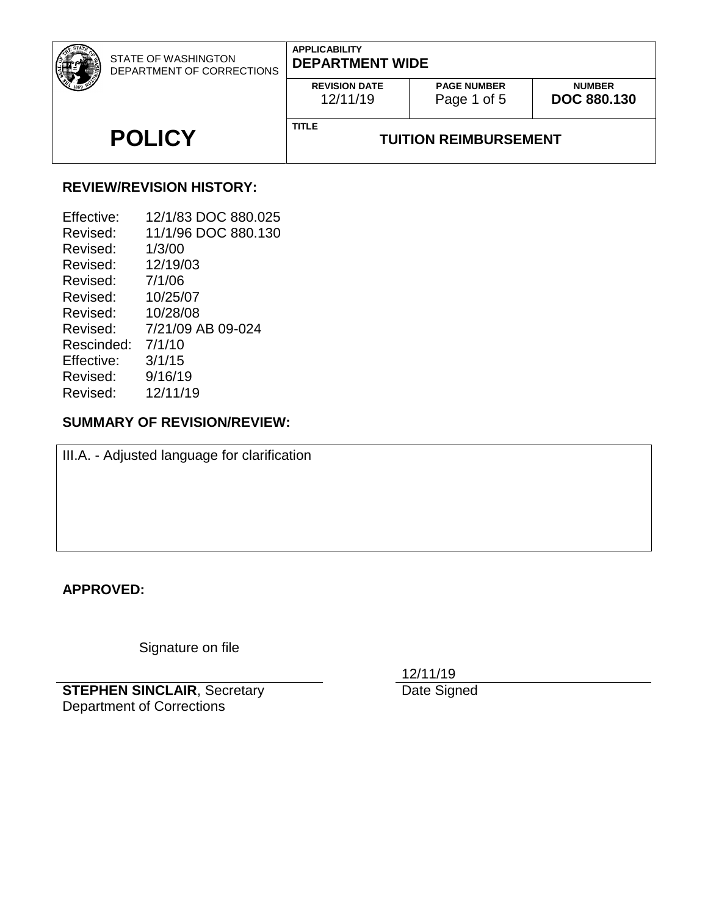| STATE OF WASHINGTON<br>DEPARTMENT OF CORRECTIONS | <b>APPLICABILITY</b><br><b>DEPARTMENT WIDE</b> |                                   |                                     |
|--------------------------------------------------|------------------------------------------------|-----------------------------------|-------------------------------------|
|                                                  | <b>REVISION DATE</b><br>12/11/19               | <b>PAGE NUMBER</b><br>Page 1 of 5 | <b>NUMBER</b><br><b>DOC 880.130</b> |
| <b>POLICY</b>                                    | <b>TITLE</b>                                   | <b>TUITION REIMBURSEMENT</b>      |                                     |

# **REVIEW/REVISION HISTORY:**

| Effective: | 12/1/83 DOC 880.025 |
|------------|---------------------|
| Revised:   | 11/1/96 DOC 880.130 |
| Revised:   | 1/3/00              |
| Revised:   | 12/19/03            |
| Revised:   | 7/1/06              |
| Revised:   | 10/25/07            |
| Revised:   | 10/28/08            |
| Revised:   | 7/21/09 AB 09-024   |
| Rescinded: | 7/1/10              |
| Effective: | 3/1/15              |
| Revised:   | 9/16/19             |
| Revised:   | 12/11/19            |

# **SUMMARY OF REVISION/REVIEW:**

III.A. - Adjusted language for clarification

# **APPROVED:**

Signature on file

**STEPHEN SINCLAIR**, Secretary Department of Corrections

12/11/19

Date Signed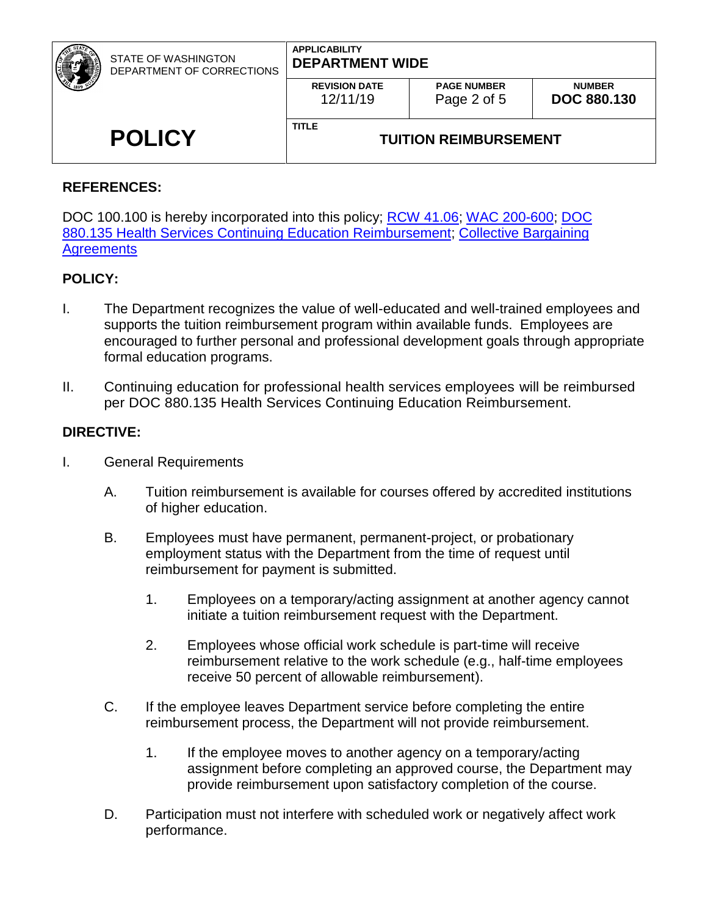| <b>STATE OF WASHINGTON</b><br>DEPARTMENT OF CORRECTIONS | <b>APPLICABILITY</b><br><b>DEPARTMENT WIDE</b> |                                   |                                     |  |
|---------------------------------------------------------|------------------------------------------------|-----------------------------------|-------------------------------------|--|
|                                                         | <b>REVISION DATE</b><br>12/11/19               | <b>PAGE NUMBER</b><br>Page 2 of 5 | <b>NUMBER</b><br><b>DOC 880.130</b> |  |
| <b>POLICY</b>                                           | <b>TITLE</b>                                   | <b>TUITION REIMBURSEMENT</b>      |                                     |  |

## **REFERENCES:**

DOC 100.100 is hereby incorporated into this policy; [RCW 41.06;](http://app.leg.wa.gov/RCW/default.aspx?cite=41.06) [WAC 200-600;](http://apps.leg.wa.gov/wac/default.aspx?cite=200-600) DOC [880.135 Health Services Continuing Education Reimbursement;](http://insidedoc/policies/DOC/word/880135.pdf) [Collective Bargaining](https://ofm.wa.gov/state-human-resources/labor-relations/collective-bargaining-agreements)  **Agreements** 

## **POLICY:**

- I. The Department recognizes the value of well-educated and well-trained employees and supports the tuition reimbursement program within available funds. Employees are encouraged to further personal and professional development goals through appropriate formal education programs.
- II. Continuing education for professional health services employees will be reimbursed per DOC 880.135 Health Services Continuing Education Reimbursement.

## **DIRECTIVE:**

- I. General Requirements
	- A. Tuition reimbursement is available for courses offered by accredited institutions of higher education.
	- B. Employees must have permanent, permanent-project, or probationary employment status with the Department from the time of request until reimbursement for payment is submitted.
		- 1. Employees on a temporary/acting assignment at another agency cannot initiate a tuition reimbursement request with the Department.
		- 2. Employees whose official work schedule is part-time will receive reimbursement relative to the work schedule (e.g., half-time employees receive 50 percent of allowable reimbursement).
	- C. If the employee leaves Department service before completing the entire reimbursement process, the Department will not provide reimbursement.
		- 1. If the employee moves to another agency on a temporary/acting assignment before completing an approved course, the Department may provide reimbursement upon satisfactory completion of the course.
	- D. Participation must not interfere with scheduled work or negatively affect work performance.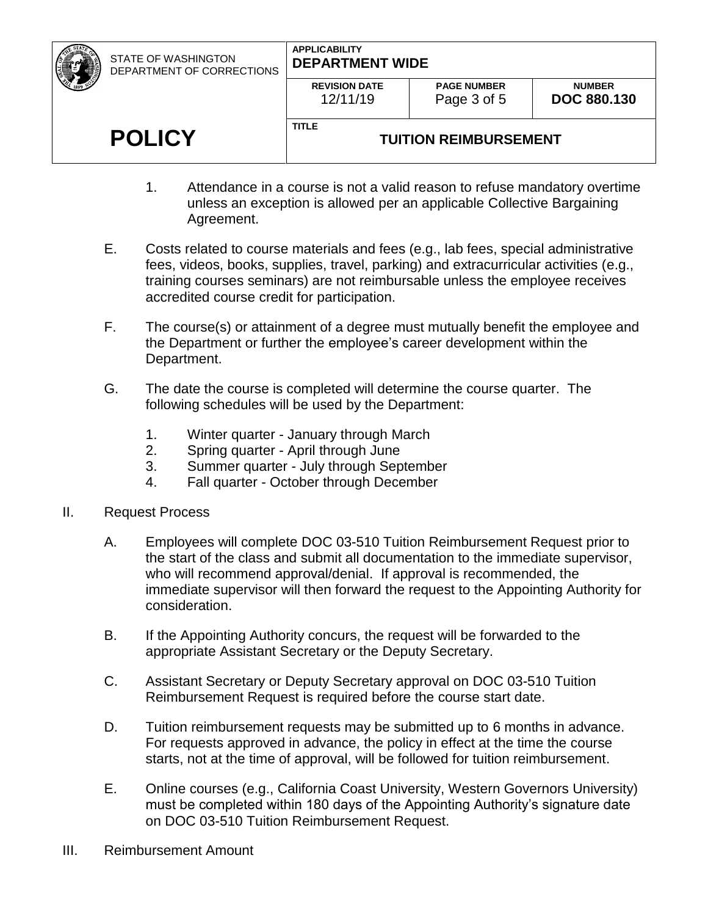| STATE OF WASHINGTON<br>DEPARTMENT OF CORRECTIONS | <b>APPLICABILITY</b><br><b>DEPARTMENT WIDE</b> |                                   |                                     |  |
|--------------------------------------------------|------------------------------------------------|-----------------------------------|-------------------------------------|--|
|                                                  | <b>REVISION DATE</b><br>12/11/19               | <b>PAGE NUMBER</b><br>Page 3 of 5 | <b>NUMBER</b><br><b>DOC 880.130</b> |  |
| <b>POLICY</b>                                    | <b>TITLE</b><br><b>TUITION REIMBURSEMENT</b>   |                                   |                                     |  |

- 1. Attendance in a course is not a valid reason to refuse mandatory overtime unless an exception is allowed per an applicable Collective Bargaining Agreement.
- E. Costs related to course materials and fees (e.g., lab fees, special administrative fees, videos, books, supplies, travel, parking) and extracurricular activities (e.g., training courses seminars) are not reimbursable unless the employee receives accredited course credit for participation.
- F. The course(s) or attainment of a degree must mutually benefit the employee and the Department or further the employee's career development within the Department.
- G. The date the course is completed will determine the course quarter. The following schedules will be used by the Department:
	- 1. Winter quarter January through March
	- 2. Spring quarter April through June
	- 3. Summer quarter July through September
	- 4. Fall quarter October through December
- II. Request Process
	- A. Employees will complete DOC 03-510 Tuition Reimbursement Request prior to the start of the class and submit all documentation to the immediate supervisor, who will recommend approval/denial. If approval is recommended, the immediate supervisor will then forward the request to the Appointing Authority for consideration.
	- B. If the Appointing Authority concurs, the request will be forwarded to the appropriate Assistant Secretary or the Deputy Secretary.
	- C. Assistant Secretary or Deputy Secretary approval on DOC 03-510 Tuition Reimbursement Request is required before the course start date.
	- D. Tuition reimbursement requests may be submitted up to 6 months in advance. For requests approved in advance, the policy in effect at the time the course starts, not at the time of approval, will be followed for tuition reimbursement.
	- E. Online courses (e.g., California Coast University, Western Governors University) must be completed within 180 days of the Appointing Authority's signature date on DOC 03-510 Tuition Reimbursement Request.
- III. Reimbursement Amount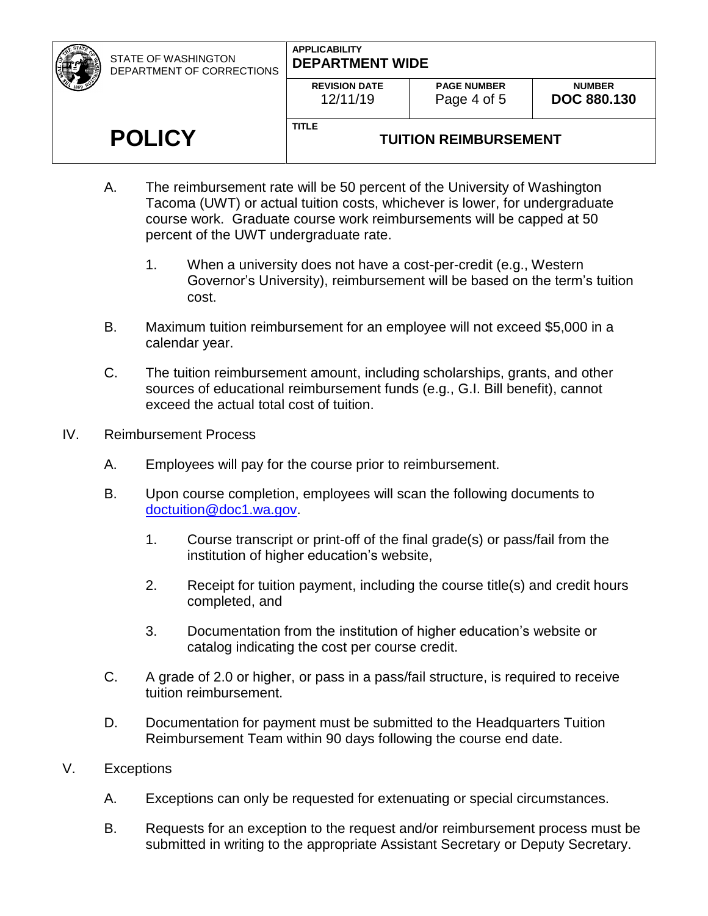STATE OF WASHINGTON DEPARTMENT OF CORRECTIONS

**POLICY**

### **APPLICABILITY DEPARTMENT WIDE**

|          | <b>REVISION DATE</b> |
|----------|----------------------|
| 12/11/19 |                      |

**TITLE**

# **TUITION REIMBURSEMENT**

- A. The reimbursement rate will be 50 percent of the University of Washington Tacoma (UWT) or actual tuition costs, whichever is lower, for undergraduate course work. Graduate course work reimbursements will be capped at 50 percent of the UWT undergraduate rate.
	- 1. When a university does not have a cost-per-credit (e.g., Western Governor's University), reimbursement will be based on the term's tuition cost.
- B. Maximum tuition reimbursement for an employee will not exceed \$5,000 in a calendar year.
- C. The tuition reimbursement amount, including scholarships, grants, and other sources of educational reimbursement funds (e.g., G.I. Bill benefit), cannot exceed the actual total cost of tuition.
- IV. Reimbursement Process
	- A. Employees will pay for the course prior to reimbursement.
	- B. Upon course completion, employees will scan the following documents to [doctuition@doc1.wa.gov.](mailto:doctuition@doc1.wa.gov)
		- 1. Course transcript or print-off of the final grade(s) or pass/fail from the institution of higher education's website,
		- 2. Receipt for tuition payment, including the course title(s) and credit hours completed, and
		- 3. Documentation from the institution of higher education's website or catalog indicating the cost per course credit.
	- C. A grade of 2.0 or higher, or pass in a pass/fail structure, is required to receive tuition reimbursement.
	- D. Documentation for payment must be submitted to the Headquarters Tuition Reimbursement Team within 90 days following the course end date.

# V. Exceptions

- A. Exceptions can only be requested for extenuating or special circumstances.
- B. Requests for an exception to the request and/or reimbursement process must be submitted in writing to the appropriate Assistant Secretary or Deputy Secretary.